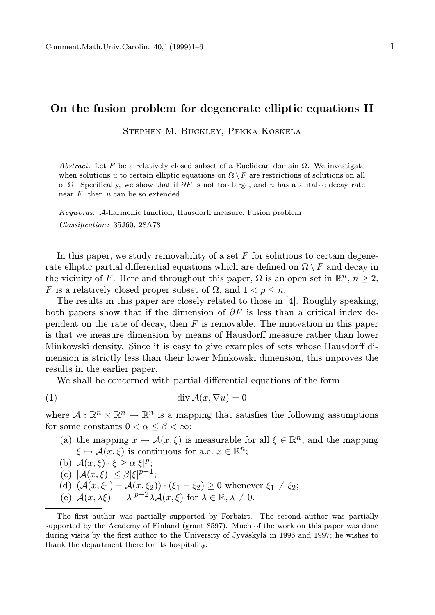## On the fusion problem for degenerate elliptic equations II

Stephen M. Buckley, Pekka Koskela

Abstract. Let F be a relatively closed subset of a Euclidean domain  $\Omega$ . We investigate when solutions u to certain elliptic equations on  $\Omega \setminus F$  are restrictions of solutions on all of  $\Omega$ . Specifically, we show that if  $\partial F$  is not too large, and u has a suitable decay rate near  $F$ , then  $u$  can be so extended.

Keywords: A-harmonic function, Hausdorff measure, Fusion problem Classification: 35J60, 28A78

In this paper, we study removability of a set  $F$  for solutions to certain degenerate elliptic partial differential equations which are defined on  $\Omega \setminus F$  and decay in the vicinity of F. Here and throughout this paper,  $\Omega$  is an open set in  $\mathbb{R}^n$ ,  $n \geq 2$ , F is a relatively closed proper subset of  $\Omega$ , and  $1 < p \leq n$ .

The results in this paper are closely related to those in [4]. Roughly speaking, both papers show that if the dimension of  $\partial F$  is less than a critical index dependent on the rate of decay, then  $F$  is removable. The innovation in this paper is that we measure dimension by means of Hausdorff measure rather than lower Minkowski density. Since it is easy to give examples of sets whose Hausdorff dimension is strictly less than their lower Minkowski dimension, this improves the results in the earlier paper.

We shall be concerned with partial differential equations of the form

(1) div A(x, ∇u) = 0

where  $A: \mathbb{R}^n \times \mathbb{R}^n \to \mathbb{R}^n$  is a mapping that satisfies the following assumptions for some constants  $0 < \alpha \leq \beta < \infty$ :

- (a) the mapping  $x \mapsto \mathcal{A}(x, \xi)$  is measurable for all  $\xi \in \mathbb{R}^n$ , and the mapping  $\xi \mapsto \mathcal{A}(x,\xi)$  is continuous for a.e.  $x \in \mathbb{R}^n$ ;
- (b)  $\mathcal{A}(x,\xi) \cdot \xi \geq \alpha |\xi|^p;$
- (c)  $|\mathcal{A}(x,\xi)| \leq \beta |\xi|^{p-1};$
- (d)  $(A(x,\xi_1) A(x,\xi_2)) \cdot (\xi_1 \xi_2) \geq 0$  whenever  $\xi_1 \neq \xi_2$ ;
- (e)  $\mathcal{A}(x,\lambda\xi) = |\lambda|^{p-2} \lambda \mathcal{A}(x,\xi)$  for  $\lambda \in \mathbb{R}, \lambda \neq 0$ .

The first author was partially supported by Forbairt. The second author was partially supported by the Academy of Finland (grant 8597). Much of the work on this paper was done during visits by the first author to the University of Jyväskylä in 1996 and 1997; he wishes to thank the department there for its hospitality.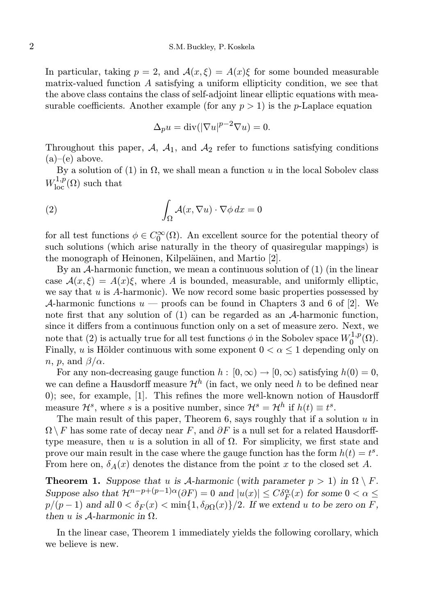In particular, taking  $p = 2$ , and  $\mathcal{A}(x, \xi) = \mathcal{A}(x)\xi$  for some bounded measurable matrix-valued function A satisfying a uniform ellipticity condition, we see that the above class contains the class of self-adjoint linear elliptic equations with measurable coefficients. Another example (for any  $p > 1$ ) is the *p*-Laplace equation

$$
\Delta_p u = \text{div}(|\nabla u|^{p-2} \nabla u) = 0.
$$

Throughout this paper,  $A_1$ ,  $A_1$ , and  $A_2$  refer to functions satisfying conditions  $(a)$ – $(e)$  above.

By a solution of (1) in  $\Omega$ , we shall mean a function u in the local Sobolev class  $W^{1,p}_{\text{loc}}(\Omega)$  such that

(2) 
$$
\int_{\Omega} \mathcal{A}(x, \nabla u) \cdot \nabla \phi \, dx = 0
$$

for all test functions  $\phi \in C_0^{\infty}(\Omega)$ . An excellent source for the potential theory of such solutions (which arise naturally in the theory of quasiregular mappings) is the monograph of Heinonen, Kilpeläinen, and Martio [2].

By an A-harmonic function, we mean a continuous solution of (1) (in the linear case  $A(x,\xi) = A(x)\xi$ , where A is bounded, measurable, and uniformly elliptic, we say that  $u$  is A-harmonic). We now record some basic properties possessed by A-harmonic functions  $u$  — proofs can be found in Chapters 3 and 6 of [2]. We note first that any solution of (1) can be regarded as an A-harmonic function, since it differs from a continuous function only on a set of measure zero. Next, we note that (2) is actually true for all test functions  $\phi$  in the Sobolev space  $W_0^{1,p}$  $\mathcal{O}^{1,p}(\Omega).$ Finally, u is Hölder continuous with some exponent  $0 < \alpha \leq 1$  depending only on *n*, *p*, and  $\beta/\alpha$ .

For any non-decreasing gauge function  $h : [0, \infty) \to [0, \infty)$  satisfying  $h(0) = 0$ , we can define a Hausdorff measure  $\mathcal{H}^h$  (in fact, we only need h to be defined near 0); see, for example, [1]. This refines the more well-known notion of Hausdorff measure  $\mathcal{H}^s$ , where s is a positive number, since  $\mathcal{H}^s = \mathcal{H}^h$  if  $h(t) \equiv t^s$ .

The main result of this paper, Theorem 6, says roughly that if a solution  $u$  in  $\Omega \backslash F$  has some rate of decay near F, and  $\partial F$  is a null set for a related Hausdorfftype measure, then u is a solution in all of  $\Omega$ . For simplicity, we first state and prove our main result in the case where the gauge function has the form  $h(t) = t^s$ . From here on,  $\delta_A(x)$  denotes the distance from the point x to the closed set A.

**Theorem 1.** Suppose that u is A-harmonic (with parameter  $p > 1$ ) in  $\Omega \setminus F$ . Suppose also that  $\mathcal{H}^{n-p+(p-1)\alpha}(\partial F) = 0$  and  $|u(x)| \leq C \delta_F^{\alpha}(x)$  for some  $0 < \alpha \leq$  $p/(p-1)$  and all  $0 < \delta_F(x) < \min\{1, \delta_{\partial\Omega}(x)\}/2$ . If we extend u to be zero on F, then u is  $A$ -harmonic in  $\Omega$ .

In the linear case, Theorem 1 immediately yields the following corollary, which we believe is new.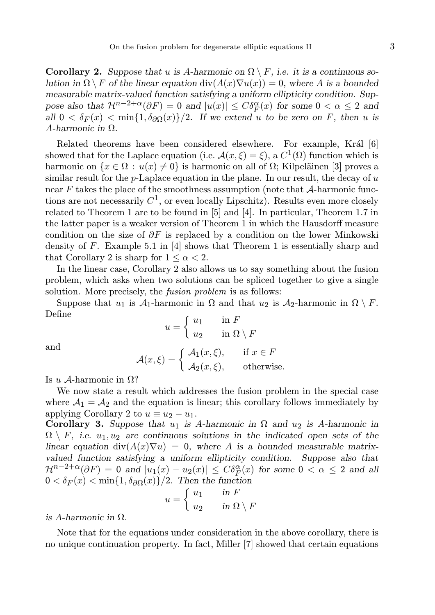**Corollary 2.** Suppose that u is A-harmonic on  $\Omega \setminus F$ , i.e. it is a continuous solution in  $\Omega \setminus F$  of the linear equation div $(A(x)\nabla u(x)) = 0$ , where A is a bounded measurable matrix-valued function satisfying a uniform ellipticity condition. Suppose also that  $\mathcal{H}^{n-2+\alpha}(\partial F) = 0$  and  $|u(x)| \leq C \delta_F^{\alpha}(x)$  for some  $0 < \alpha \leq 2$  and all  $0 < \delta_F(x) < \min\{1, \delta_{\partial\Omega}(x)\}/2$ . If we extend u to be zero on F, then u is  $A$ -harmonic in  $\Omega$ .

Related theorems have been considered elsewhere. For example, Král [6] showed that for the Laplace equation (i.e.  $\mathcal{A}(x,\xi) = \xi$ ), a  $C^1(\Omega)$  function which is harmonic on  $\{x \in \Omega : u(x) \neq 0\}$  is harmonic on all of  $\Omega$ ; Kilpeläinen [3] proves a similar result for the p-Laplace equation in the plane. In our result, the decay of  $u$ near F takes the place of the smoothness assumption (note that A-harmonic functions are not necessarily  $C^1$ , or even locally Lipschitz). Results even more closely related to Theorem 1 are to be found in [5] and [4]. In particular, Theorem 1.7 in the latter paper is a weaker version of Theorem 1 in which the Hausdorff measure condition on the size of  $\partial F$  is replaced by a condition on the lower Minkowski density of F. Example 5.1 in  $[4]$  shows that Theorem 1 is essentially sharp and that Corollary 2 is sharp for  $1 \leq \alpha \leq 2$ .

In the linear case, Corollary 2 also allows us to say something about the fusion problem, which asks when two solutions can be spliced together to give a single solution. More precisely, the fusion problem is as follows:

Suppose that  $u_1$  is  $\mathcal{A}_1$ -harmonic in  $\Omega$  and that  $u_2$  is  $\mathcal{A}_2$ -harmonic in  $\Omega \setminus F$ . Define

$$
u = \begin{cases} u_1 & \text{in } F \\ u_2 & \text{in } \Omega \setminus F \end{cases}
$$

and

$$
\mathcal{A}(x,\xi) = \begin{cases} \mathcal{A}_1(x,\xi), & \text{if } x \in F \\ \mathcal{A}_2(x,\xi), & \text{otherwise.} \end{cases}
$$

Is u A-harmonic in  $\Omega$ ?

We now state a result which addresses the fusion problem in the special case where  $A_1 = A_2$  and the equation is linear; this corollary follows immediately by applying Corollary 2 to  $u \equiv u_2 - u_1$ .

Corollary 3. Suppose that  $u_1$  is A-harmonic in  $\Omega$  and  $u_2$  is A-harmonic in  $\Omega \setminus F$ , i.e.  $u_1, u_2$  are continuous solutions in the indicated open sets of the linear equation div $(A(x)\nabla u) = 0$ , where A is a bounded measurable matrixvalued function satisfying a uniform ellipticity condition. Suppose also that  $\mathcal{H}^{n-2+\alpha}(\partial F) = 0$  and  $|u_1(x) - u_2(x)| \leq C \delta_F^{\alpha}(x)$  for some  $0 < \alpha \leq 2$  and all  $0 < \delta_F(x) < \min\{1, \delta_{\partial\Omega}(x)\}/2$ . Then the function

$$
u = \begin{cases} u_1 & \text{in } F \\ u_2 & \text{in } \Omega \setminus F \end{cases}
$$

is A-harmonic in  $\Omega$ .

Note that for the equations under consideration in the above corollary, there is no unique continuation property. In fact, Miller [7] showed that certain equations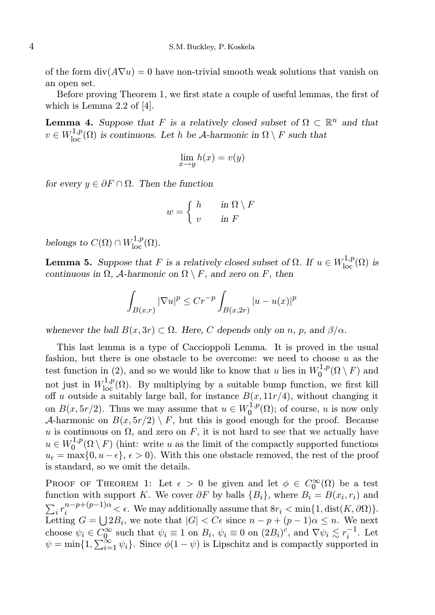of the form  $div(A\nabla u) = 0$  have non-trivial smooth weak solutions that vanish on an open set.

Before proving Theorem 1, we first state a couple of useful lemmas, the first of which is Lemma 2.2 of [4].

**Lemma 4.** Suppose that F is a relatively closed subset of  $\Omega \subset \mathbb{R}^n$  and that  $v \in W^{1,p}_{loc}(\Omega)$  is continuous. Let h be A-harmonic in  $\Omega \setminus F$  such that

$$
\lim_{x \to y} h(x) = v(y)
$$

for every  $y \in \partial F \cap \Omega$ . Then the function

$$
w = \begin{cases} h & \text{in } \Omega \setminus F \\ v & \text{in } F \end{cases}
$$

belongs to  $C(\Omega) \cap W^{1,p}_{loc}(\Omega)$ .

**Lemma 5.** Suppose that F is a relatively closed subset of  $\Omega$ . If  $u \in W^{1,p}_{loc}(\Omega)$  is continuous in  $\Omega$ , A-harmonic on  $\Omega \setminus F$ , and zero on F, then

$$
\int_{B(x,r)} |\nabla u|^p \le Cr^{-p} \int_{B(x,2r)} |u - u(x)|^p
$$

whenever the ball  $B(x, 3r) \subset \Omega$ . Here, C depends only on n, p, and  $\beta/\alpha$ .

This last lemma is a type of Caccioppoli Lemma. It is proved in the usual fashion, but there is one obstacle to be overcome: we need to choose  $u$  as the test function in (2), and so we would like to know that u lies in  $W_0^{1,p}$  $\bigcirc^{\mathfrak{1},p}_0(\Omega\setminus F)$  and not just in  $W^{1,p}_{loc}(\Omega)$ . By multiplying by a suitable bump function, we first kill off u outside a suitably large ball, for instance  $B(x, 11r/4)$ , without changing it on  $B(x, 5r/2)$ . Thus we may assume that  $u \in W_0^{1,p}$  $\mathcal{O}_0^{1,p}(\Omega)$ ; of course, u is now only A-harmonic on  $B(x, 5r/2) \setminus F$ , but this is good enough for the proof. Because u is continuous on  $\Omega$ , and zero on F, it is not hard to see that we actually have  $u \in W_0^{1,p}$  $\int_0^{1,p} (\Omega \setminus F)$  (hint: write u as the limit of the compactly supported functions  $u_{\epsilon} = \max\{0, u - \epsilon\}, \epsilon > 0$ . With this one obstacle removed, the rest of the proof is standard, so we omit the details.

PROOF OF THEOREM 1: Let  $\epsilon > 0$  be given and let  $\phi \in C_0^{\infty}(\Omega)$  be a test function with support K. We cover  $\partial F$  by balls  $\{B_i\}$ , where  $B_i = B(x_i, r_i)$  and  $\sum_i r_i^{n-p+(p-1)\alpha} < \epsilon$ . We may additionally assume that  $8r_i < \min\{1, \text{dist}(K, \partial\Omega)\}.$ Letting  $G = \bigcup 2B_i$ , we note that  $|G| < C\epsilon$  since  $n - p + (p - 1)\alpha \leq n$ . We next choose  $\psi_i \in C_0^{\infty}$  such that  $\psi_i \equiv 1$  on  $B_i$ ,  $\psi_i \equiv 0$  on  $(2B_i)^c$ , and  $\nabla \psi_i \lesssim r_i^{-1}$ . Let  $\psi = \min\{1, \sum_{i=1}^{\infty} \psi_i\}.$  Since  $\phi(1 - \psi)$  is Lipschitz and is compactly supported in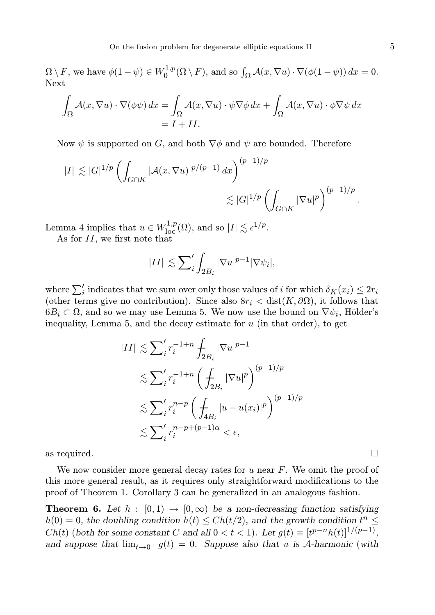$\Omega \setminus F$ , we have  $\phi(1-\psi) \in W_0^{1,p}$  $\int_0^{1,p} (\Omega \setminus F)$ , and so  $\int_{\Omega} \mathcal{A}(x, \nabla u) \cdot \nabla(\phi(1-\psi)) dx = 0$ . Next

$$
\int_{\Omega} \mathcal{A}(x, \nabla u) \cdot \nabla(\phi \psi) dx = \int_{\Omega} \mathcal{A}(x, \nabla u) \cdot \psi \nabla \phi dx + \int_{\Omega} \mathcal{A}(x, \nabla u) \cdot \phi \nabla \psi dx
$$

$$
= I + II.
$$

Now  $\psi$  is supported on G, and both  $\nabla \phi$  and  $\psi$  are bounded. Therefore

$$
|I| \lesssim |G|^{1/p} \left( \int_{G \cap K} |\mathcal{A}(x, \nabla u)|^{p/(p-1)} dx \right)^{(p-1)/p}
$$
  

$$
\lesssim |G|^{1/p} \left( \int_{G \cap K} |\nabla u|^p \right)^{(p-1)/p}.
$$

Lemma 4 implies that  $u \in W^{1,p}_{loc}(\Omega)$ , and so  $|I| \lesssim \epsilon^{1/p}$ .

As for II, we first note that

$$
|II| \lesssim \sum_{i}' \int_{2B_i} |\nabla u|^{p-1} |\nabla \psi_i|,
$$

where  $\sum_{i}'$  indicates that we sum over only those values of *i* for which  $\delta_K(x_i) \leq 2r_i$ (other terms give no contribution). Since also  $8r_i < \text{dist}(K, \partial\Omega)$ , it follows that  $6B_i \subset \Omega$ , and so we may use Lemma 5. We now use the bound on  $\nabla \psi_i$ , Hölder's inequality, Lemma 5, and the decay estimate for  $u$  (in that order), to get

$$
|II| \lesssim \sum_{i}^{\prime} r_{i}^{-1+n} \int_{2B_{i}} |\nabla u|^{p-1}
$$
  
\n
$$
\lesssim \sum_{i}^{\prime} r_{i}^{-1+n} \left( \int_{2B_{i}} |\nabla u|^{p} \right)^{(p-1)/p}
$$
  
\n
$$
\lesssim \sum_{i}^{\prime} r_{i}^{n-p} \left( \int_{4B_{i}} |u - u(x_{i})|^{p} \right)^{(p-1)/p}
$$
  
\n
$$
\lesssim \sum_{i}^{\prime} r_{i}^{n-p+(p-1)\alpha} < \epsilon,
$$

as required.  $\Box$ 

We now consider more general decay rates for  $u$  near  $F$ . We omit the proof of this more general result, as it requires only straightforward modifications to the proof of Theorem 1. Corollary 3 can be generalized in an analogous fashion.

**Theorem 6.** Let  $h : [0, 1) \rightarrow [0, \infty)$  be a non-decreasing function satisfying  $h(0) = 0$ , the doubling condition  $h(t) \leq Ch(t/2)$ , and the growth condition  $t^n \leq$  $Ch(t)$  (both for some constant C and all  $0 < t < 1$ ). Let  $g(t) \equiv [t^{p-n}h(t)]^{1/(p-1)}$ , and suppose that  $\lim_{t\to 0^+} g(t) = 0$ . Suppose also that u is A-harmonic (with